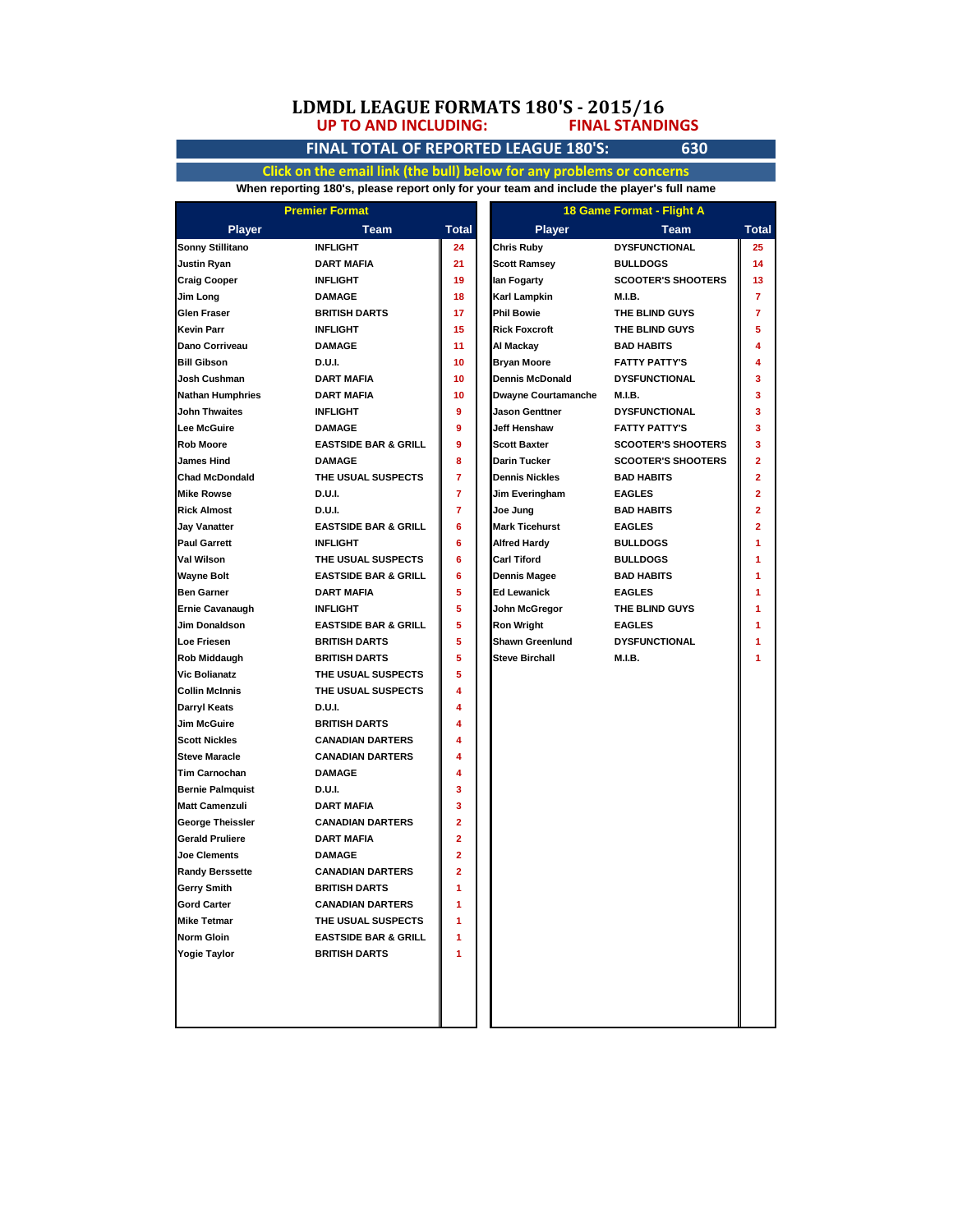### **UP TO AND INCLUDING: LDMDL LEAGUE FORMATS 180'S - 2015/16 FINAL STANDINGS**

# **FINAL TOTAL OF REPORTED LEAGUE 180'S: 630**

**Click on the email link (the bull) below for any problems or concerns When reporting 180's, please report only for your team and include the player's full name**

|                                      | <b>Premier Format</b>           |                |                            | 18 Game Format - Flight A |                |
|--------------------------------------|---------------------------------|----------------|----------------------------|---------------------------|----------------|
| <b>Player</b>                        | <b>Team</b>                     | Total          | <b>Player</b>              | <b>Team</b>               | Total          |
| Sonny Stillitano                     | <b>INFLIGHT</b>                 | 24             | Chris Ruby                 | <b>DYSFUNCTIONAL</b>      | 25             |
| <b>Justin Ryan</b>                   | <b>DART MAFIA</b>               | 21             | <b>Scott Ramsey</b>        | <b>BULLDOGS</b>           | 14             |
| <b>Craig Cooper</b>                  | <b>INFLIGHT</b>                 | 19             | lan Fogarty                | <b>SCOOTER'S SHOOTERS</b> | 13             |
| Jim Long                             | <b>DAMAGE</b>                   | 18             | Karl Lampkin               | M.I.B.                    | $\overline{7}$ |
| Glen Fraser                          | <b>BRITISH DARTS</b>            | 17             | <b>Phil Bowie</b>          | THE BLIND GUYS            | 7              |
| <b>Kevin Parr</b>                    | <b>INFLIGHT</b>                 | 15             | <b>Rick Foxcroft</b>       | THE BLIND GUYS            | 5              |
| Dano Corriveau                       | <b>DAMAGE</b>                   | 11             | Al Mackay                  | <b>BAD HABITS</b>         | 4              |
| <b>Bill Gibson</b>                   | D.U.I.                          | 10             | <b>Bryan Moore</b>         | <b>FATTY PATTY'S</b>      | 4              |
| Josh Cushman                         | <b>DART MAFIA</b>               | 10             | <b>Dennis McDonald</b>     | <b>DYSFUNCTIONAL</b>      | 3              |
| <b>Nathan Humphries</b>              | <b>DART MAFIA</b>               | 10             | <b>Dwayne Courtamanche</b> | M.I.B.                    | 3              |
| <b>John Thwaites</b>                 | <b>INFLIGHT</b>                 | 9              | Jason Genttner             | <b>DYSFUNCTIONAL</b>      | 3              |
| <b>Lee McGuire</b>                   | <b>DAMAGE</b>                   | 9              | Jeff Henshaw               | <b>FATTY PATTY'S</b>      | 3              |
| <b>Rob Moore</b>                     | <b>EASTSIDE BAR &amp; GRILL</b> | 9              | <b>Scott Baxter</b>        | <b>SCOOTER'S SHOOTERS</b> | 3              |
| <b>James Hind</b>                    | <b>DAMAGE</b>                   | 8              | Darin Tucker               | <b>SCOOTER'S SHOOTERS</b> | 2              |
| <b>Chad McDondald</b>                | THE USUAL SUSPECTS              | 7              | <b>Dennis Nickles</b>      | <b>BAD HABITS</b>         | $\mathbf{2}$   |
| <b>Mike Rowse</b>                    | D.U.I.                          | $\overline{7}$ | <b>Jim Everingham</b>      | <b>EAGLES</b>             | $\overline{2}$ |
| <b>Rick Almost</b>                   | D.U.I.                          | $\overline{7}$ | Joe Jung                   | <b>BAD HABITS</b>         | 2              |
| <b>Jay Vanatter</b>                  | <b>EASTSIDE BAR &amp; GRILL</b> | 6              | <b>Mark Ticehurst</b>      | <b>EAGLES</b>             | 2              |
| <b>Paul Garrett</b>                  | <b>INFLIGHT</b>                 | 6              | Alfred Hardy               | <b>BULLDOGS</b>           | 1              |
| Val Wilson                           | THE USUAL SUSPECTS              | 6              | <b>Carl Tiford</b>         | <b>BULLDOGS</b>           | 1              |
| <b>Wayne Bolt</b>                    | <b>EASTSIDE BAR &amp; GRILL</b> | 6              | Dennis Magee               | <b>BAD HABITS</b>         | 1              |
| <b>Ben Garner</b>                    | <b>DART MAFIA</b>               | 5              | Ed Lewanick                | <b>EAGLES</b>             | 1              |
| <b>Ernie Cavanaugh</b>               | <b>INFLIGHT</b>                 | 5              | John McGregor              | THE BLIND GUYS            | 1              |
| Jim Donaldson                        | <b>EASTSIDE BAR &amp; GRILL</b> | 5              | Ron Wright                 | <b>EAGLES</b>             | 1              |
| <b>Loe Friesen</b>                   | <b>BRITISH DARTS</b>            | 5              | <b>Shawn Greenlund</b>     | <b>DYSFUNCTIONAL</b>      | 1              |
|                                      | <b>BRITISH DARTS</b>            | 5              | <b>Steve Birchall</b>      | <b>M.I.B.</b>             |                |
| Rob Middaugh<br><b>Vic Bolianatz</b> | THE USUAL SUSPECTS              | 5              |                            |                           |                |
| Collin McInnis                       | THE USUAL SUSPECTS              | 4              |                            |                           |                |
|                                      | D.U.I.                          | 4              |                            |                           |                |
| Darryl Keats<br><b>Jim McGuire</b>   | <b>BRITISH DARTS</b>            | 4              |                            |                           |                |
| <b>Scott Nickles</b>                 | <b>CANADIAN DARTERS</b>         | 4              |                            |                           |                |
|                                      |                                 |                |                            |                           |                |
| <b>Steve Maracle</b>                 | <b>CANADIAN DARTERS</b>         | 4              |                            |                           |                |
| Tim Carnochan                        | <b>DAMAGE</b>                   | 4<br>3         |                            |                           |                |
| <b>Bernie Palmquist</b>              | D.U.I.                          | 3              |                            |                           |                |
| <b>Matt Camenzuli</b>                | <b>DART MAFIA</b>               | $\overline{2}$ |                            |                           |                |
| George Theissler                     | <b>CANADIAN DARTERS</b>         | $\overline{2}$ |                            |                           |                |
| <b>Gerald Pruliere</b>               | <b>DART MAFIA</b>               |                |                            |                           |                |
| <b>Joe Clements</b>                  | <b>DAMAGE</b>                   | $\overline{2}$ |                            |                           |                |
| <b>Randy Berssette</b>               | <b>CANADIAN DARTERS</b>         | $\overline{2}$ |                            |                           |                |
| <b>Gerry Smith</b>                   | <b>BRITISH DARTS</b>            | 1              |                            |                           |                |
| <b>Gord Carter</b>                   | <b>CANADIAN DARTERS</b>         | 1              |                            |                           |                |
| <b>Mike Tetmar</b>                   | THE USUAL SUSPECTS              | 1              |                            |                           |                |
| <b>Norm Gloin</b>                    | <b>EASTSIDE BAR &amp; GRILL</b> | 1              |                            |                           |                |
| Yogie Taylor                         | <b>BRITISH DARTS</b>            | 1              |                            |                           |                |
|                                      |                                 |                |                            |                           |                |
|                                      |                                 |                |                            |                           |                |
|                                      |                                 |                |                            |                           |                |
|                                      |                                 |                |                            |                           |                |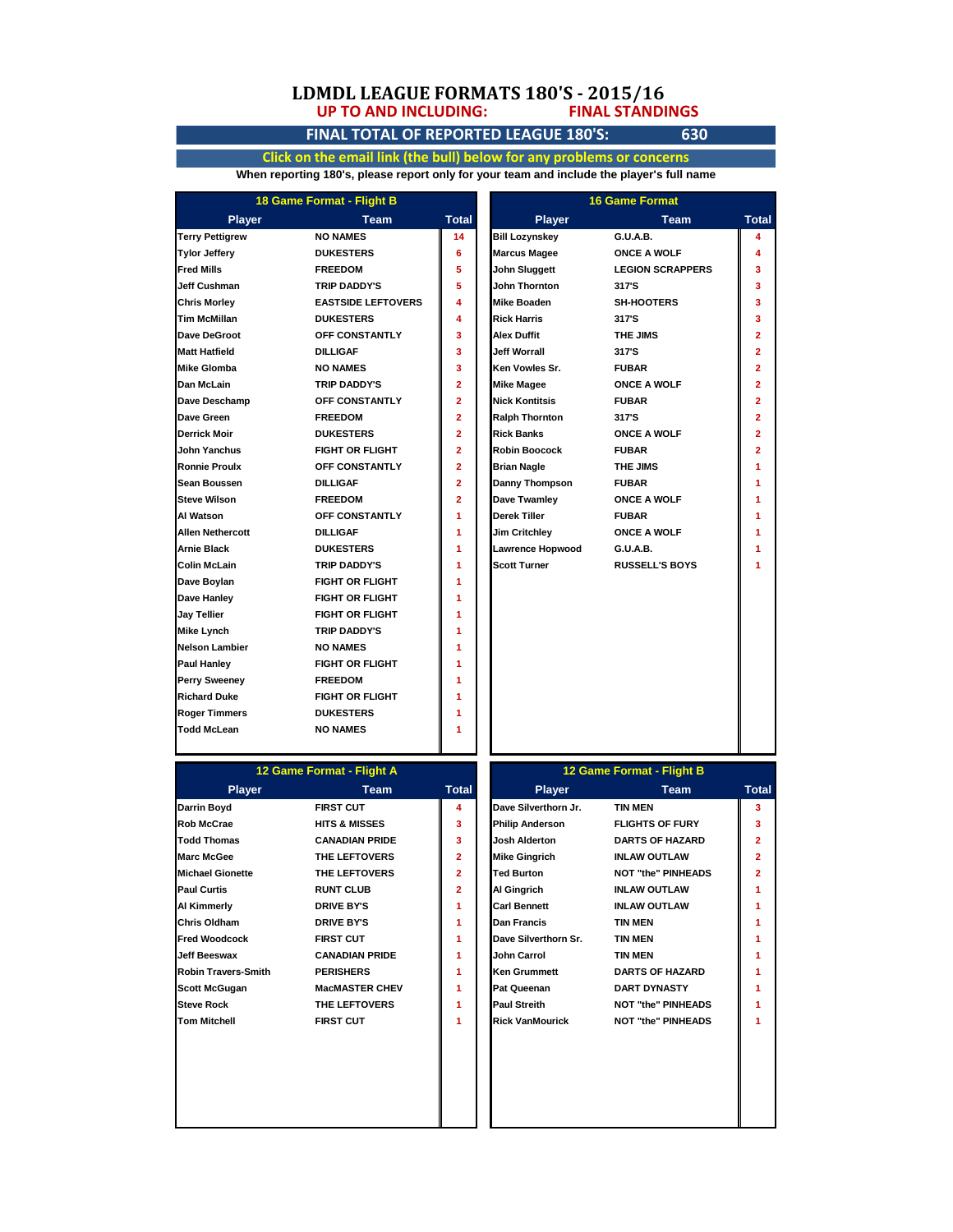### **UP TO AND INCLUDING: LDMDL LEAGUE FORMATS 180'S - 2015/16 FINAL STANDINGS**

## **FINAL TOTAL OF REPORTED LEAGUE 180'S: 630**

**Click on the email link (the bull) below for any problems or concerns When reporting 180's, please report only for your team and include the player's full name**

| 18 Game Format - Flight B |                           | <b>16 Game Format</b> |                       |                         |                |
|---------------------------|---------------------------|-----------------------|-----------------------|-------------------------|----------------|
| <b>Player</b>             | <b>Team</b>               | <b>Total</b>          | <b>Player</b>         | <b>Team</b>             | Total          |
| <b>Terry Pettigrew</b>    | <b>NO NAMES</b>           | 14                    | <b>Bill Lozynskey</b> | G.U.A.B.                | 4              |
| <b>Tylor Jeffery</b>      | <b>DUKESTERS</b>          | 6                     | <b>Marcus Magee</b>   | <b>ONCE A WOLF</b>      | 4              |
| <b>Fred Mills</b>         | <b>FREEDOM</b>            | 5                     | <b>John Sluggett</b>  | <b>LEGION SCRAPPERS</b> | 3              |
| <b>Jeff Cushman</b>       | <b>TRIP DADDY'S</b>       | 5                     | <b>John Thornton</b>  | 317'S                   | 3              |
| <b>Chris Morley</b>       | <b>EASTSIDE LEFTOVERS</b> | 4                     | Mike Boaden           | <b>SH-HOOTERS</b>       | 3              |
| <b>Tim McMillan</b>       | <b>DUKESTERS</b>          | 4                     | <b>Rick Harris</b>    | 317'S                   | 3              |
| Dave DeGroot              | OFF CONSTANTLY            | 3                     | Alex Duffit           | THE JIMS                | $\overline{2}$ |
| <b>Matt Hatfield</b>      | <b>DILLIGAF</b>           | 3                     | Jeff Worrall          | 317'S                   | $\overline{2}$ |
| <b>Mike Glomba</b>        | <b>NO NAMES</b>           | 3                     | Ken Vowles Sr.        | <b>FUBAR</b>            | $\overline{2}$ |
| Dan McLain                | <b>TRIP DADDY'S</b>       | $\overline{2}$        | <b>Mike Magee</b>     | <b>ONCE A WOLF</b>      | $\overline{2}$ |
| Dave Deschamp             | OFF CONSTANTLY            | $\overline{2}$        | <b>Nick Kontitsis</b> | <b>FUBAR</b>            | $\overline{2}$ |
| Dave Green                | <b>FREEDOM</b>            | $\overline{2}$        | <b>Ralph Thornton</b> | 317'S                   | $\overline{2}$ |
| Derrick Moir              | <b>DUKESTERS</b>          | $\overline{2}$        | <b>Rick Banks</b>     | <b>ONCE A WOLF</b>      | $\overline{2}$ |
| John Yanchus              | <b>FIGHT OR FLIGHT</b>    | $\overline{2}$        | <b>Robin Boocock</b>  | <b>FUBAR</b>            | $\overline{2}$ |
| <b>Ronnie Proulx</b>      | OFF CONSTANTLY            | $\overline{2}$        | <b>Brian Nagle</b>    | THE JIMS                | 1              |
| Sean Boussen              | <b>DILLIGAF</b>           | $\overline{2}$        | Danny Thompson        | <b>FUBAR</b>            | 1              |
| <b>Steve Wilson</b>       | <b>FREEDOM</b>            | $\overline{2}$        | Dave Twamley          | <b>ONCE A WOLF</b>      | 1              |
| Al Watson                 | OFF CONSTANTLY            | 1                     | Derek Tiller          | <b>FUBAR</b>            | 1              |
| <b>Allen Nethercott</b>   | <b>DILLIGAF</b>           | 1                     | <b>Jim Critchley</b>  | <b>ONCE A WOLF</b>      | 1              |
| <b>Arnie Black</b>        | <b>DUKESTERS</b>          | 1                     | Lawrence Hopwood      | G.U.A.B.                | 1              |
| <b>Colin McLain</b>       | <b>TRIP DADDY'S</b>       | 1                     | <b>Scott Turner</b>   | <b>RUSSELL'S BOYS</b>   | 1              |
| Dave Boylan               | <b>FIGHT OR FLIGHT</b>    | 1                     |                       |                         |                |
| Dave Hanley               | <b>FIGHT OR FLIGHT</b>    | 1                     |                       |                         |                |
| Jay Tellier               | <b>FIGHT OR FLIGHT</b>    | 1                     |                       |                         |                |
| <b>Mike Lynch</b>         | <b>TRIP DADDY'S</b>       | 1                     |                       |                         |                |
| <b>Nelson Lambier</b>     | <b>NO NAMES</b>           | 1                     |                       |                         |                |
| <b>Paul Hanley</b>        | <b>FIGHT OR FLIGHT</b>    | 1                     |                       |                         |                |
| Perry Sweeney             | <b>FREEDOM</b>            | 1                     |                       |                         |                |
| <b>Richard Duke</b>       | <b>FIGHT OR FLIGHT</b>    | 1                     |                       |                         |                |
| <b>Roger Timmers</b>      | <b>DUKESTERS</b>          | 1                     |                       |                         |                |
| <b>Todd McLean</b>        | <b>NO NAMES</b>           | 1                     |                       |                         |                |

| 12 Game Format - Flight A  |                          |                | 12 Game Format - Flight B |                           |                |
|----------------------------|--------------------------|----------------|---------------------------|---------------------------|----------------|
| <b>Player</b>              | <b>Team</b>              | Total          | <b>Player</b>             | Team                      | Tot            |
| Darrin Boyd                | <b>FIRST CUT</b>         | 4              | Dave Silverthorn Jr.      | <b>TIN MEN</b>            | 3              |
| <b>Rob McCrae</b>          | <b>HITS &amp; MISSES</b> | 3              | <b>Philip Anderson</b>    | <b>FLIGHTS OF FURY</b>    | 3              |
| <b>Todd Thomas</b>         | <b>CANADIAN PRIDE</b>    | 3              | Josh Alderton             | <b>DARTS OF HAZARD</b>    | $\overline{2}$ |
| <b>Marc McGee</b>          | THE LEFTOVERS            | $\overline{2}$ | <b>Mike Gingrich</b>      | <b>INLAW OUTLAW</b>       | $\overline{2}$ |
| <b>Michael Gionette</b>    | THE LEFTOVERS            | $\overline{2}$ | Ted Burton                | <b>NOT "the" PINHEADS</b> | $\overline{2}$ |
| <b>Paul Curtis</b>         | <b>RUNT CLUB</b>         | $\overline{2}$ | Al Gingrich               | <b>INLAW OUTLAW</b>       |                |
| Al Kimmerly                | <b>DRIVE BY'S</b>        | 1              | <b>Carl Bennett</b>       | <b>INLAW OUTLAW</b>       |                |
| Chris Oldham               | <b>DRIVE BY'S</b>        | 1              | <b>Dan Francis</b>        | <b>TIN MEN</b>            |                |
| <b>Fred Woodcock</b>       | <b>FIRST CUT</b>         | 1              | Dave Silverthorn Sr.      | <b>TIN MEN</b>            |                |
| Jeff Beeswax               | <b>CANADIAN PRIDE</b>    | 1              | <b>John Carrol</b>        | <b>TIN MEN</b>            |                |
| <b>Robin Travers-Smith</b> | <b>PERISHERS</b>         | 1              | <b>Ken Grummett</b>       | <b>DARTS OF HAZARD</b>    |                |
| <b>Scott McGugan</b>       | <b>MacMASTER CHEV</b>    | 1              | <b>Pat Queenan</b>        | <b>DART DYNASTY</b>       |                |
| <b>Steve Rock</b>          | THE LEFTOVERS            | 1              | <b>Paul Streith</b>       | <b>NOT "the" PINHEADS</b> | 1              |
| Tom Mitchell               | <b>FIRST CUT</b>         | 1              | <b>Rick VanMourick</b>    | <b>NOT "the" PINHEADS</b> | 1              |
|                            |                          |                |                           |                           |                |
|                            |                          |                |                           |                           |                |

| 12 Game Format - Flight A |                          |                | 12 Game Format - Flight B |                           |              |
|---------------------------|--------------------------|----------------|---------------------------|---------------------------|--------------|
| <b>Player</b>             | Team                     | <b>Total</b>   | <b>Player</b>             | Team                      | <b>Total</b> |
|                           | <b>FIRST CUT</b>         | 4              | Dave Silverthorn Jr.      | <b>TIN MEN</b>            | 3            |
| ė                         | <b>HITS &amp; MISSES</b> | 3              | <b>Philip Anderson</b>    | <b>FLIGHTS OF FURY</b>    | 3            |
| as                        | <b>CANADIAN PRIDE</b>    | 3              | Josh Alderton             | <b>DARTS OF HAZARD</b>    | $\mathbf{2}$ |
| е                         | THE LEFTOVERS            | $\overline{2}$ | <b>Mike Gingrich</b>      | <b>INLAW OUTLAW</b>       | $\mathbf{2}$ |
| nette                     | THE LEFTOVERS            | $\overline{2}$ | <b>Ted Burton</b>         | <b>NOT "the" PINHEADS</b> | $\mathbf{2}$ |
|                           | <b>RUNT CLUB</b>         | $\overline{2}$ | Al Gingrich               | <b>INLAW OUTLAW</b>       |              |
| v                         | <b>DRIVE BY'S</b>        | 1              | <b>Carl Bennett</b>       | <b>INLAW OUTLAW</b>       |              |
| am.                       | <b>DRIVE BY'S</b>        | 1              | <b>Dan Francis</b>        | <b>TIN MEN</b>            |              |
| cock                      | <b>FIRST CUT</b>         | 1              | Dave Silverthorn Sr.      | <b>TIN MEN</b>            |              |
| ax                        | <b>CANADIAN PRIDE</b>    | 1              | John Carrol               | <b>TIN MEN</b>            |              |
| ers-Smith                 | <b>PERISHERS</b>         | 1              | <b>Ken Grummett</b>       | <b>DARTS OF HAZARD</b>    |              |
| ıgan                      | <b>MacMASTER CHEV</b>    | 1              | <b>Pat Queenan</b>        | <b>DART DYNASTY</b>       |              |
|                           | THE LEFTOVERS            | 1              | <b>Paul Streith</b>       | <b>NOT "the" PINHEADS</b> |              |
| ٠H                        | <b>FIRST CUT</b>         | 1              | Rick VanMourick           | <b>NOT "the" PINHEADS</b> |              |
|                           |                          |                |                           |                           |              |
|                           |                          |                |                           |                           |              |
|                           |                          |                |                           |                           |              |
|                           |                          |                |                           |                           |              |